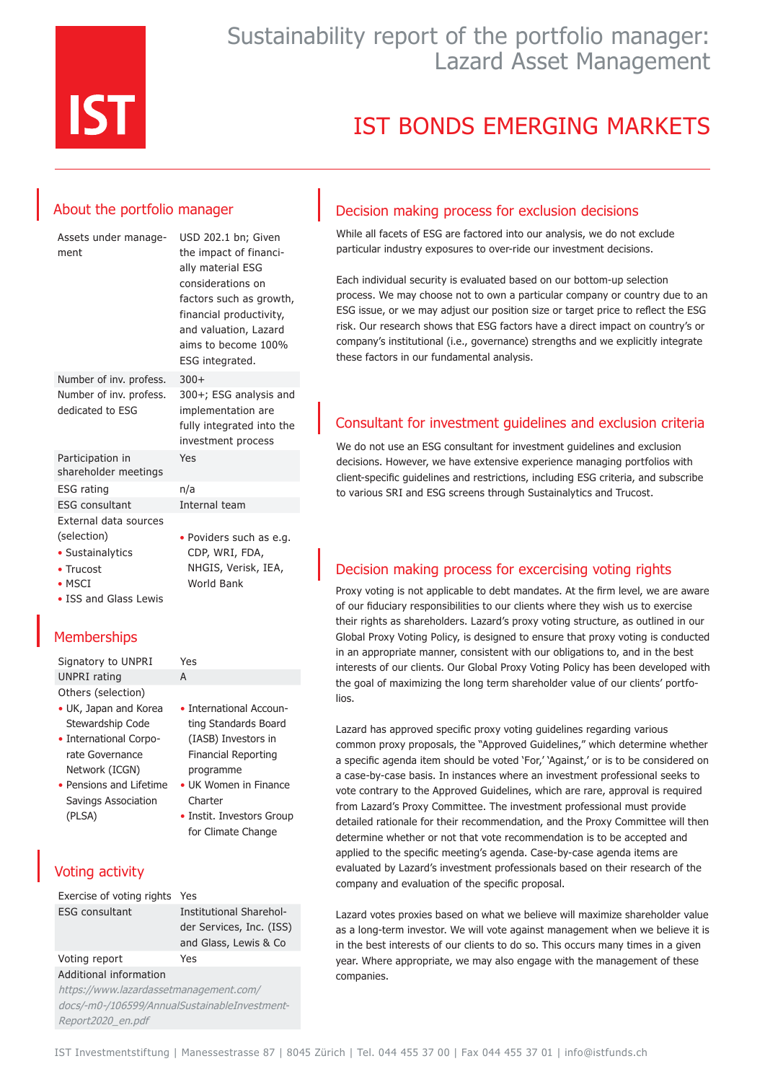

## Sustainability report of the portfolio manager: Lazard Asset Management

# IST BONDS EMERGING MARKETS

### About the portfolio manager

| Assets under manage-<br>ment                | USD 202.1 bn; Given<br>the impact of financi-<br>ally material ESG<br>considerations on<br>factors such as growth,<br>financial productivity,<br>and valuation, Lazard<br>aims to become 100%<br>ESG integrated. |
|---------------------------------------------|------------------------------------------------------------------------------------------------------------------------------------------------------------------------------------------------------------------|
| Number of inv. profess.                     | $300+$                                                                                                                                                                                                           |
| Number of inv. profess.<br>dedicated to ESG | 300+; ESG analysis and<br>implementation are<br>fully integrated into the<br>investment process                                                                                                                  |
| Participation in<br>shareholder meetings    | Yes                                                                                                                                                                                                              |
| <b>ESG</b> rating                           | n/a                                                                                                                                                                                                              |
| <b>ESG</b> consultant                       | Internal team                                                                                                                                                                                                    |
| External data sources                       |                                                                                                                                                                                                                  |
| (selection)                                 | • Poviders such as e.g.                                                                                                                                                                                          |
| • Sustainalytics                            | CDP, WRI, FDA,                                                                                                                                                                                                   |
| • Trucost                                   | NHGIS, Verisk, IEA,                                                                                                                                                                                              |
| $\bullet$ MSCI                              | <b>World Bank</b>                                                                                                                                                                                                |
| • ISS and Glass Lewis                       |                                                                                                                                                                                                                  |

### **Memberships**

Signatory to UNPRI Yes UNPRI rating A Others (selection) • UK, Japan and Korea

- Stewardship Code
- International Corporate Governance Network (ICGN)
- Pensions and Lifetime Savings Association (PLSA)

### Voting activity

| Exercise of voting rights Yes |                          |
|-------------------------------|--------------------------|
| <b>ESG</b> consultant         | Institutional Sharehol-  |
|                               | der Services, Inc. (ISS) |
|                               | and Glass, Lewis & Co    |
| Voting report                 | Yes                      |
| Additional information        |                          |

• International Accounting Standards Board (IASB) Investors in Financial Reporting programme • UK Women in Finance

• Instit. Investors Group for Climate Change

**Charter** 

https://www.lazardassetmanagement.com/ docs/-m0-/106599/AnnualSustainableInvestment-Report2020\_en.pdf

#### Decision making process for exclusion decisions

While all facets of ESG are factored into our analysis, we do not exclude particular industry exposures to over-ride our investment decisions.

Each individual security is evaluated based on our bottom-up selection process. We may choose not to own a particular company or country due to an ESG issue, or we may adjust our position size or target price to reflect the ESG risk. Our research shows that ESG factors have a direct impact on country's or company's institutional (i.e., governance) strengths and we explicitly integrate these factors in our fundamental analysis.

### Consultant for investment guidelines and exclusion criteria

We do not use an ESG consultant for investment guidelines and exclusion decisions. However, we have extensive experience managing portfolios with client-specific guidelines and restrictions, including ESG criteria, and subscribe to various SRI and ESG screens through Sustainalytics and Trucost.

### Decision making process for excercising voting rights

Proxy voting is not applicable to debt mandates. At the firm level, we are aware of our fiduciary responsibilities to our clients where they wish us to exercise their rights as shareholders. Lazard's proxy voting structure, as outlined in our Global Proxy Voting Policy, is designed to ensure that proxy voting is conducted in an appropriate manner, consistent with our obligations to, and in the best interests of our clients. Our Global Proxy Voting Policy has been developed with the goal of maximizing the long term shareholder value of our clients' portfolios.

Lazard has approved specific proxy voting guidelines regarding various common proxy proposals, the "Approved Guidelines," which determine whether a specific agenda item should be voted 'For,' 'Against,' or is to be considered on a case-by-case basis. In instances where an investment professional seeks to vote contrary to the Approved Guidelines, which are rare, approval is required from Lazard's Proxy Committee. The investment professional must provide detailed rationale for their recommendation, and the Proxy Committee will then determine whether or not that vote recommendation is to be accepted and applied to the specific meeting's agenda. Case-by-case agenda items are evaluated by Lazard's investment professionals based on their research of the company and evaluation of the specific proposal.

Lazard votes proxies based on what we believe will maximize shareholder value as a long-term investor. We will vote against management when we believe it is in the best interests of our clients to do so. This occurs many times in a given year. Where appropriate, we may also engage with the management of these companies.